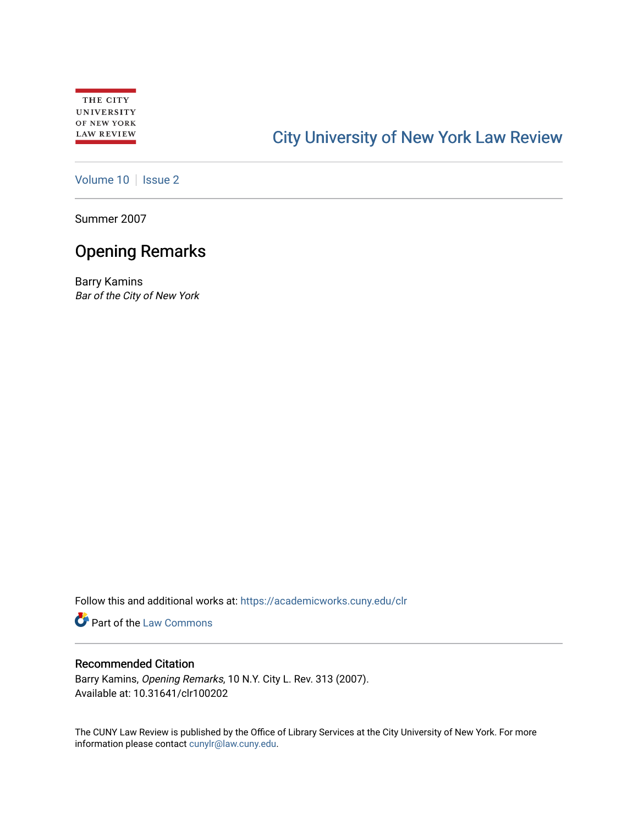# [City University of New York Law Review](https://academicworks.cuny.edu/clr)

[Volume 10](https://academicworks.cuny.edu/clr/vol10) | [Issue 2](https://academicworks.cuny.edu/clr/vol10/iss2)

Summer 2007

## Opening Remarks

Barry Kamins Bar of the City of New York

Follow this and additional works at: [https://academicworks.cuny.edu/clr](https://academicworks.cuny.edu/clr?utm_source=academicworks.cuny.edu%2Fclr%2Fvol10%2Fiss2%2F3&utm_medium=PDF&utm_campaign=PDFCoverPages) 

Part of the [Law Commons](http://network.bepress.com/hgg/discipline/578?utm_source=academicworks.cuny.edu%2Fclr%2Fvol10%2Fiss2%2F3&utm_medium=PDF&utm_campaign=PDFCoverPages)

## Recommended Citation

Barry Kamins, Opening Remarks, 10 N.Y. City L. Rev. 313 (2007). Available at: 10.31641/clr100202

The CUNY Law Review is published by the Office of Library Services at the City University of New York. For more information please contact [cunylr@law.cuny.edu](mailto:cunylr@law.cuny.edu).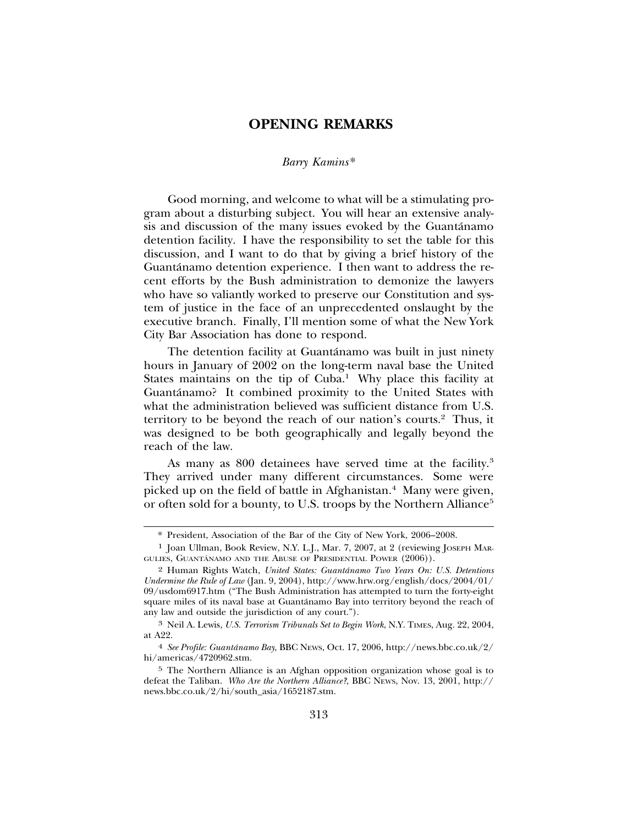### **OPENING REMARKS**

#### *Barry Kamins*\*

Good morning, and welcome to what will be a stimulating program about a disturbing subject. You will hear an extensive analysis and discussion of the many issues evoked by the Guantánamo detention facility. I have the responsibility to set the table for this discussion, and I want to do that by giving a brief history of the Guantánamo detention experience. I then want to address the recent efforts by the Bush administration to demonize the lawyers who have so valiantly worked to preserve our Constitution and system of justice in the face of an unprecedented onslaught by the executive branch. Finally, I'll mention some of what the New York City Bar Association has done to respond.

The detention facility at Guantánamo was built in just ninety hours in January of 2002 on the long-term naval base the United States maintains on the tip of  $Cuba<sup>1</sup>$  Why place this facility at Guantánamo? It combined proximity to the United States with what the administration believed was sufficient distance from U.S. territory to be beyond the reach of our nation's courts.2 Thus, it was designed to be both geographically and legally beyond the reach of the law.

As many as 800 detainees have served time at the facility.<sup>3</sup> They arrived under many different circumstances. Some were picked up on the field of battle in Afghanistan.<sup>4</sup> Many were given, or often sold for a bounty, to U.S. troops by the Northern Alliance<sup>5</sup>

<sup>\*</sup> President, Association of the Bar of the City of New York, 2006–2008.

<sup>1</sup> Joan Ullman, Book Review, N.Y. L.J., Mar. 7, 2007, at 2 (reviewing JOSEPH MAR-GULIES, GUANTÁNAMO AND THE ABUSE OF PRESIDENTIAL POWER (2006)).

<sup>2</sup> Human Rights Watch, *United States: Guantanamo Two Years On: U.S. Detentions ´ Undermine the Rule of Law* (Jan. 9, 2004), http://www.hrw.org/english/docs/2004/01/ 09/usdom6917.htm ("The Bush Administration has attempted to turn the forty-eight square miles of its naval base at Guantánamo Bay into territory beyond the reach of any law and outside the jurisdiction of any court.").

<sup>3</sup> Neil A. Lewis, *U.S. Terrorism Tribunals Set to Begin Work*, N.Y. TIMES, Aug. 22, 2004, at A22.

<sup>4</sup> *See Profile: Guantanamo Bay ´* , BBC NEWS, Oct. 17, 2006, http://news.bbc.co.uk/2/ hi/americas/4720962.stm.

<sup>5</sup> The Northern Alliance is an Afghan opposition organization whose goal is to defeat the Taliban. *Who Are the Northern Alliance?*, BBC NEWS, Nov. 13, 2001, http:// news.bbc.co.uk/2/hi/south\_asia/1652187.stm.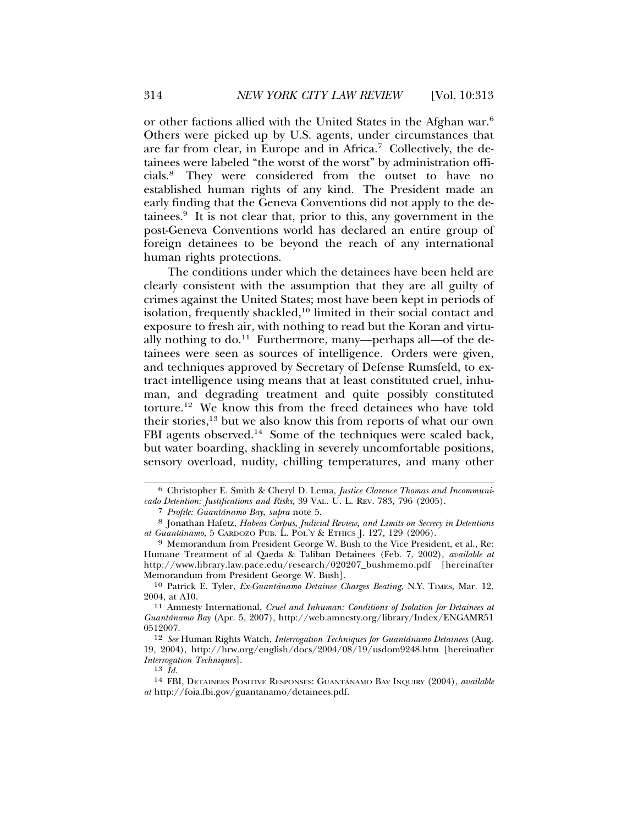or other factions allied with the United States in the Afghan war.6 Others were picked up by U.S. agents, under circumstances that are far from clear, in Europe and in Africa.7 Collectively, the detainees were labeled "the worst of the worst" by administration officials.8 They were considered from the outset to have no established human rights of any kind. The President made an early finding that the Geneva Conventions did not apply to the detainees. $9$  It is not clear that, prior to this, any government in the post-Geneva Conventions world has declared an entire group of foreign detainees to be beyond the reach of any international human rights protections.

The conditions under which the detainees have been held are clearly consistent with the assumption that they are all guilty of crimes against the United States; most have been kept in periods of isolation, frequently shackled,<sup>10</sup> limited in their social contact and exposure to fresh air, with nothing to read but the Koran and virtually nothing to  $do.<sup>11</sup>$  Furthermore, many—perhaps all—of the detainees were seen as sources of intelligence. Orders were given, and techniques approved by Secretary of Defense Rumsfeld, to extract intelligence using means that at least constituted cruel, inhuman, and degrading treatment and quite possibly constituted torture.12 We know this from the freed detainees who have told their stories,13 but we also know this from reports of what our own FBI agents observed.<sup>14</sup> Some of the techniques were scaled back, but water boarding, shackling in severely uncomfortable positions, sensory overload, nudity, chilling temperatures, and many other

<sup>6</sup> Christopher E. Smith & Cheryl D. Lema, *Justice Clarence Thomas and Incommunicado Detention: Justifications and Risks*, 39 VAL. U. L. REV. 783, 796 (2005).

<sup>&</sup>lt;sup>8</sup> Jonathan Hafetz, *Habeas Corpus, Judicial Review, and Limits on Secrecy in Detentions at Guantánamo, 5 CARDOZO PUB. L. POL'Y & ETHICS J. 127, 129 (2006).* 

<sup>&</sup>lt;sup>9</sup> Memorandum from President George W. Bush to the Vice President, et al., Re: Humane Treatment of al Qaeda & Taliban Detainees (Feb. 7, 2002), *available at* http://www.library.law.pace.edu/research/020207\_bushmemo.pdf [hereinafter Memorandum from President George W. Bush].

<sup>10</sup> Patrick E. Tyler, *Ex-Guantanamo Detainee Charges Beating ´* , N.Y. TIMES, Mar. 12, 2004, at A10.

<sup>11</sup> Amnesty International, *Cruel and Inhuman: Conditions of Isolation for Detainees at Guantanamo Bay ´* (Apr. 5, 2007), http://web.amnesty.org/library/Index/ENGAMR51 0512007.

<sup>12</sup> *See* Human Rights Watch, *Interrogation Techniques for Guantanamo Detainees ´* (Aug. 19, 2004), http://hrw.org/english/docs/2004/08/19/usdom9248.htm [hereinafter *Interrogation Techniques*].

<sup>&</sup>lt;sup>14</sup> FBI, DETAINEES POSITIVE RESPONSES: GUANTÁNAMO BAY INQUIRY (2004), *available at* http://foia.fbi.gov/guantanamo/detainees.pdf.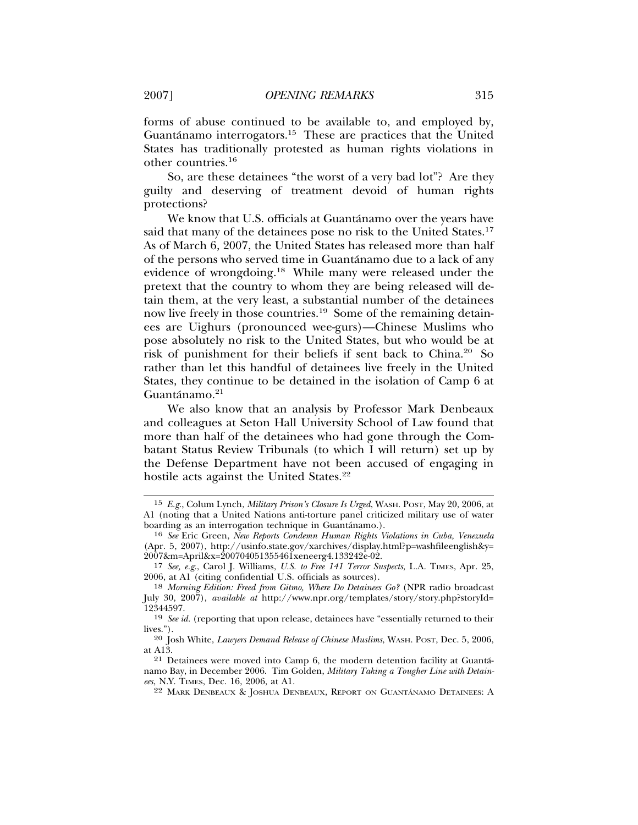forms of abuse continued to be available to, and employed by, Guantánamo interrogators.<sup>15</sup> These are practices that the United States has traditionally protested as human rights violations in other countries.<sup>16</sup>

So, are these detainees "the worst of a very bad lot"? Are they guilty and deserving of treatment devoid of human rights protections?

We know that U.S. officials at Guantánamo over the years have said that many of the detainees pose no risk to the United States.<sup>17</sup> As of March 6, 2007, the United States has released more than half of the persons who served time in Guantanamo due to a lack of any ´ evidence of wrongdoing.18 While many were released under the pretext that the country to whom they are being released will detain them, at the very least, a substantial number of the detainees now live freely in those countries.19 Some of the remaining detainees are Uighurs (pronounced wee-gurs)—Chinese Muslims who pose absolutely no risk to the United States, but who would be at risk of punishment for their beliefs if sent back to China.20 So rather than let this handful of detainees live freely in the United States, they continue to be detained in the isolation of Camp 6 at  $Guantánamo.<sup>21</sup>$ 

We also know that an analysis by Professor Mark Denbeaux and colleagues at Seton Hall University School of Law found that more than half of the detainees who had gone through the Combatant Status Review Tribunals (to which I will return) set up by the Defense Department have not been accused of engaging in hostile acts against the United States.<sup>22</sup>

<sup>15</sup> *E.g*., Colum Lynch, *Military Prison's Closure Is Urged*, WASH. POST, May 20, 2006, at A1 (noting that a United Nations anti-torture panel criticized military use of water boarding as an interrogation technique in Guantánamo.).

<sup>&</sup>lt;sup>16</sup> See Eric Green, *New Reports Condemn Human Rights Violations in Cuba, Venezuela* (Apr. 5, 2007), http://usinfo.state.gov/xarchives/display.html?p=washfileenglish&y= 2007&m=April&x=200704051355461xeneerg4.133242e-02.

<sup>17</sup> *See, e.g*., Carol J. Williams, *U.S. to Free 141 Terror Suspects*, L.A. TIMES, Apr. 25, 2006, at A1 (citing confidential U.S. officials as sources).

<sup>18</sup> *Morning Edition: Freed from Gitmo, Where Do Detainees Go?* (NPR radio broadcast July 30, 2007), *available at* http://www.npr.org/templates/story/story.php?storyId= 12344597.

<sup>19</sup> *See id.* (reporting that upon release, detainees have "essentially returned to their lives.").

<sup>20</sup> Josh White, *Lawyers Demand Release of Chinese Muslims*, WASH. POST, Dec. 5, 2006, at A13.

<sup>21</sup> Detainees were moved into Camp 6, the modern detention facility at Guanta-´ namo Bay, in December 2006. Tim Golden, *Military Taking a Tougher Line with Detainees*, N.Y. TIMES, Dec. 16, 2006, at A1.

 $22$  Mark Denbeaux & Joshua Denbeaux, Report on Guantánamo Detainees: A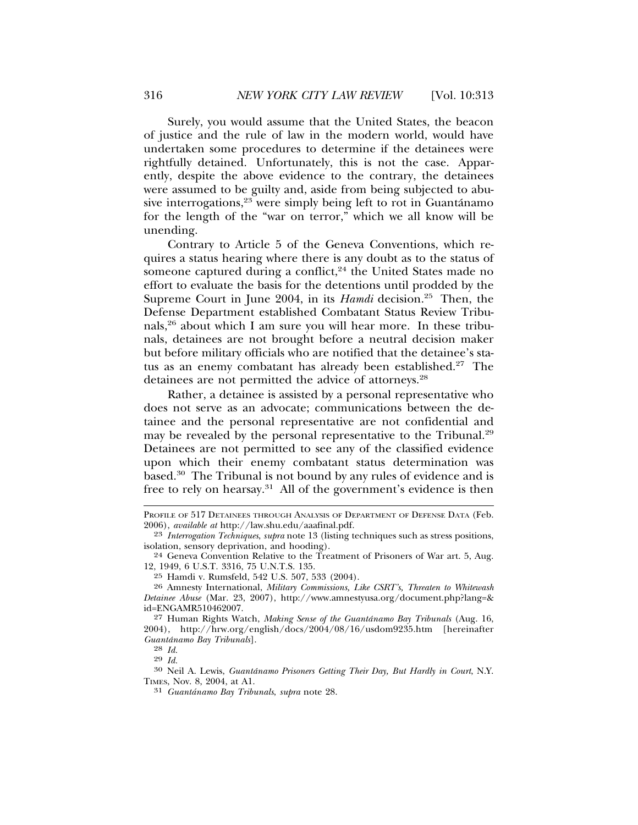Surely, you would assume that the United States, the beacon of justice and the rule of law in the modern world, would have undertaken some procedures to determine if the detainees were rightfully detained. Unfortunately, this is not the case. Apparently, despite the above evidence to the contrary, the detainees were assumed to be guilty and, aside from being subjected to abusive interrogations, $23$  were simply being left to rot in Guantanamo for the length of the "war on terror," which we all know will be unending.

Contrary to Article 5 of the Geneva Conventions, which requires a status hearing where there is any doubt as to the status of someone captured during a conflict, $24$  the United States made no effort to evaluate the basis for the detentions until prodded by the Supreme Court in June 2004, in its *Hamdi* decision.<sup>25</sup> Then, the Defense Department established Combatant Status Review Tribunals,26 about which I am sure you will hear more. In these tribunals, detainees are not brought before a neutral decision maker but before military officials who are notified that the detainee's status as an enemy combatant has already been established.<sup>27</sup> The detainees are not permitted the advice of attorneys.<sup>28</sup>

Rather, a detainee is assisted by a personal representative who does not serve as an advocate; communications between the detainee and the personal representative are not confidential and may be revealed by the personal representative to the Tribunal.<sup>29</sup> Detainees are not permitted to see any of the classified evidence upon which their enemy combatant status determination was based.30 The Tribunal is not bound by any rules of evidence and is free to rely on hearsay.31 All of the government's evidence is then

<sup>30</sup> Neil A. Lewis, *Guantánamo Prisoners Getting Their Day*, *But Hardly in Court*, N.Y. TIMES, Nov. 8, 2004, at A1.

PROFILE OF 517 DETAINEES THROUGH ANALYSIS OF DEPARTMENT OF DEFENSE DATA (Feb. 2006), *available at* http://law.shu.edu/aaafinal.pdf.

<sup>23</sup> *Interrogation Techniques*, *supra* note 13 (listing techniques such as stress positions, isolation, sensory deprivation, and hooding).

<sup>24</sup> Geneva Convention Relative to the Treatment of Prisoners of War art. 5, Aug. 12, 1949, 6 U.S.T. 3316, 75 U.N.T.S. 135.

<sup>25</sup> Hamdi v. Rumsfeld, 542 U.S. 507, 533 (2004).

<sup>26</sup> Amnesty International, *Military Commissions, Like CSRT's, Threaten to Whitewash Detainee Abuse* (Mar. 23, 2007), http://www.amnestyusa.org/document.php?lang=& id=ENGAMR510462007.

<sup>27</sup> Human Rights Watch, *Making Sense of the Guantanamo Bay Tribunals ´* (Aug. 16, 2004), http://hrw.org/english/docs/2004/08/16/usdom9235.htm [hereinafter  $Guantánamo$   $Bay$   $Tribunals$  ].

 $\frac{28}{29}$  *Id.* 

<sup>31</sup> *Guantanamo Bay Tribunals ´* , *supra* note 28.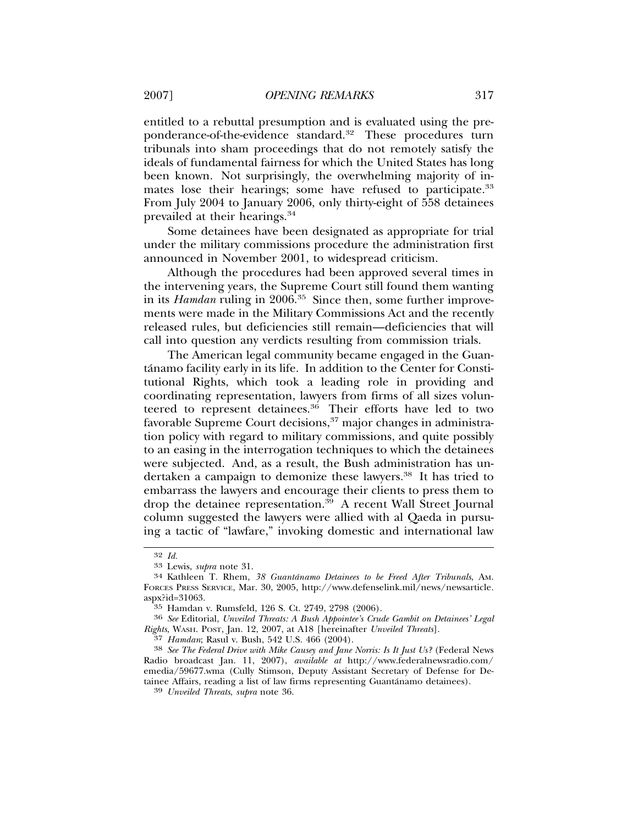entitled to a rebuttal presumption and is evaluated using the preponderance-of-the-evidence standard.<sup>32</sup> These procedures turn tribunals into sham proceedings that do not remotely satisfy the ideals of fundamental fairness for which the United States has long been known. Not surprisingly, the overwhelming majority of inmates lose their hearings; some have refused to participate.<sup>33</sup> From July 2004 to January 2006, only thirty-eight of 558 detainees prevailed at their hearings.34

Some detainees have been designated as appropriate for trial under the military commissions procedure the administration first announced in November 2001, to widespread criticism.

Although the procedures had been approved several times in the intervening years, the Supreme Court still found them wanting in its *Hamdan* ruling in 2006.<sup>35</sup> Since then, some further improvements were made in the Military Commissions Act and the recently released rules, but deficiencies still remain—deficiencies that will call into question any verdicts resulting from commission trials.

The American legal community became engaged in the Guantanamo facility early in its life. In addition to the Center for Consti- ´ tutional Rights, which took a leading role in providing and coordinating representation, lawyers from firms of all sizes volunteered to represent detainees.<sup>36</sup> Their efforts have led to two favorable Supreme Court decisions,  $37$  major changes in administration policy with regard to military commissions, and quite possibly to an easing in the interrogation techniques to which the detainees were subjected. And, as a result, the Bush administration has undertaken a campaign to demonize these lawyers.<sup>38</sup> It has tried to embarrass the lawyers and encourage their clients to press them to drop the detainee representation.<sup>39</sup> A recent Wall Street Journal column suggested the lawyers were allied with al Qaeda in pursuing a tactic of "lawfare," invoking domestic and international law

<sup>32</sup> *Id.* <sup>33</sup> Lewis, *supra* note 31. <sup>34</sup> Kathleen T. Rhem, *38 Guantanamo Detainees to be Freed After Tribunals ´* , AM. FORCES PRESS SERVICE, Mar. 30, 2005, http://www.defenselink.mil/news/newsarticle. aspx?id=31063.<br><sup>35</sup> Hamdan v. Rumsfeld, 126 S. Ct. 2749, 2798 (2006).

<sup>&</sup>lt;sup>36</sup> See Editorial, *Unveiled Threats: A Bush Appointee's Crude Gambit on Detainees' Legal Rights*, WASH. POST, Jan. 12, 2007, at A18 [hereinafter *Unveiled Threats*].

<sup>&</sup>lt;sup>38</sup> See The Federal Drive with Mike Causey and Jane Norris: Is It Just Us? (Federal News Radio broadcast Jan. 11, 2007), *available at* http://www.federalnewsradio.com/ emedia/59677.wma (Cully Stimson, Deputy Assistant Secretary of Defense for Detainee Affairs, reading a list of law firms representing Guantanamo detainees). ´ <sup>39</sup> *Unveiled Threats*, *supra* note 36.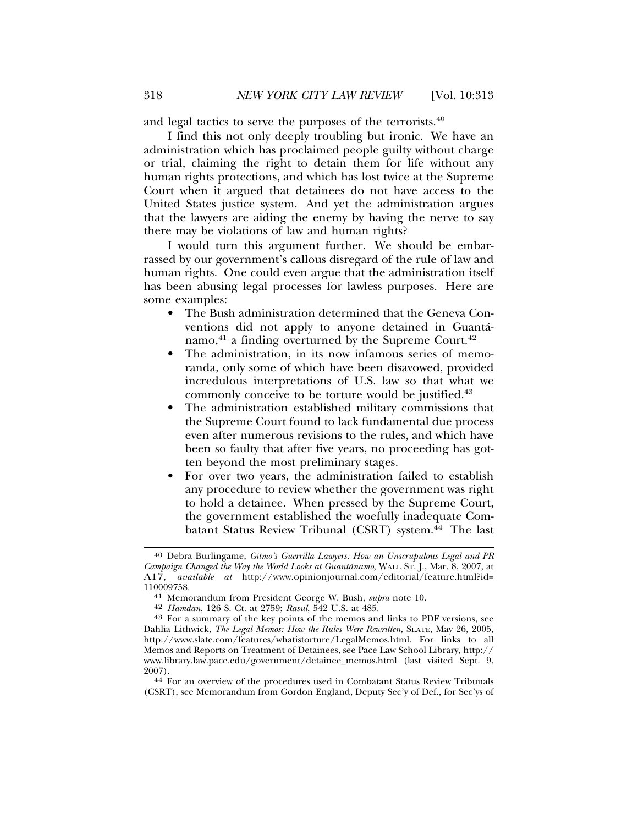and legal tactics to serve the purposes of the terrorists.40

I find this not only deeply troubling but ironic. We have an administration which has proclaimed people guilty without charge or trial, claiming the right to detain them for life without any human rights protections, and which has lost twice at the Supreme Court when it argued that detainees do not have access to the United States justice system. And yet the administration argues that the lawyers are aiding the enemy by having the nerve to say there may be violations of law and human rights?

I would turn this argument further. We should be embarrassed by our government's callous disregard of the rule of law and human rights. One could even argue that the administration itself has been abusing legal processes for lawless purposes. Here are some examples:

- The Bush administration determined that the Geneva Conventions did not apply to anyone detained in Guanta-´ namo, $41$  a finding overturned by the Supreme Court. $42$
- The administration, in its now infamous series of memoranda, only some of which have been disavowed, provided incredulous interpretations of U.S. law so that what we commonly conceive to be torture would be justified.<sup>43</sup>
- The administration established military commissions that the Supreme Court found to lack fundamental due process even after numerous revisions to the rules, and which have been so faulty that after five years, no proceeding has gotten beyond the most preliminary stages.
- For over two years, the administration failed to establish any procedure to review whether the government was right to hold a detainee. When pressed by the Supreme Court, the government established the woefully inadequate Combatant Status Review Tribunal (CSRT) system.<sup>44</sup> The last

<sup>40</sup> Debra Burlingame, *Gitmo's Guerrilla Lawyers: How an Unscrupulous Legal and PR Campaign Changed the Way the World Looks at Guantánamo, WALL ST. J., Mar. 8, 2007, at* A17, *available at* http://www.opinionjournal.com/editorial/feature.html?id=<br>110009758.

<sup>&</sup>lt;sup>41</sup> Memorandum from President George W. Bush, *supra* note 10.<br><sup>42</sup> Hamdan, 126 S. Ct. at 2759; Rasul, 542 U.S. at 485.

<sup>&</sup>lt;sup>43</sup> For a summary of the key points of the memos and links to PDF versions, see Dahlia Lithwick, *The Legal Memos: How the Rules Were Rewritten*, SLATE, May 26, 2005, http://www.slate.com/features/whatistorture/LegalMemos.html. For links to all Memos and Reports on Treatment of Detainees, see Pace Law School Library, http:// www.library.law.pace.edu/government/detainee\_memos.html (last visited Sept. 9, 2007). <sup>44</sup> For an overview of the procedures used in Combatant Status Review Tribunals

<sup>(</sup>CSRT), see Memorandum from Gordon England, Deputy Sec'y of Def., for Sec'ys of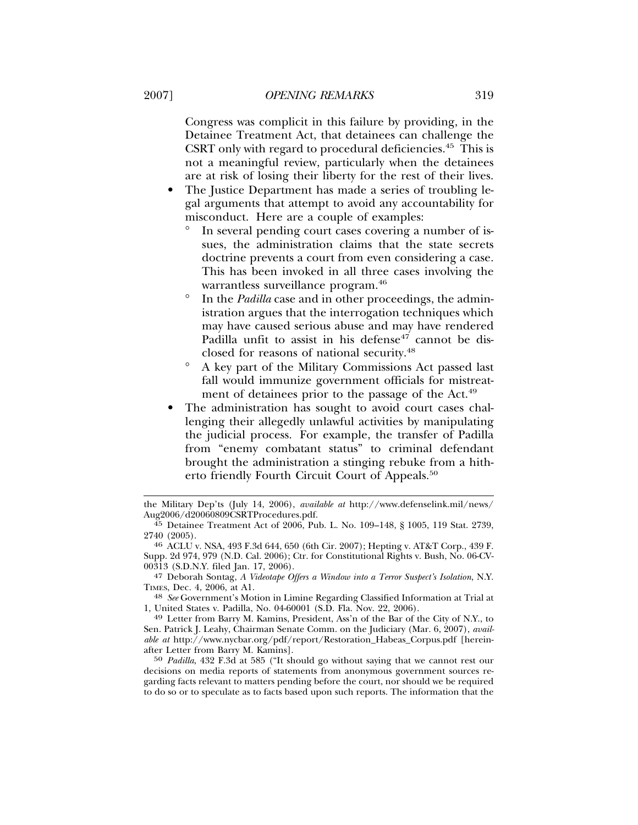Congress was complicit in this failure by providing, in the Detainee Treatment Act, that detainees can challenge the CSRT only with regard to procedural deficiencies.45 This is not a meaningful review, particularly when the detainees are at risk of losing their liberty for the rest of their lives.

- The Justice Department has made a series of troubling legal arguments that attempt to avoid any accountability for misconduct. Here are a couple of examples:
	- In several pending court cases covering a number of issues, the administration claims that the state secrets doctrine prevents a court from even considering a case. This has been invoked in all three cases involving the warrantless surveillance program.<sup>46</sup>
	- ° In the *Padilla* case and in other proceedings, the administration argues that the interrogation techniques which may have caused serious abuse and may have rendered Padilla unfit to assist in his defense<sup>47</sup> cannot be disclosed for reasons of national security.48
	- ° A key part of the Military Commissions Act passed last fall would immunize government officials for mistreatment of detainees prior to the passage of the Act.<sup>49</sup>
- The administration has sought to avoid court cases challenging their allegedly unlawful activities by manipulating the judicial process. For example, the transfer of Padilla from "enemy combatant status" to criminal defendant brought the administration a stinging rebuke from a hitherto friendly Fourth Circuit Court of Appeals.<sup>50</sup>

47 Deborah Sontag, *A Videotape Offers a Window into a Terror Suspect's Isolation*, N.Y.

TIMES, Dec. 4, 2006, at A1. <sup>48</sup> *See* Government's Motion in Limine Regarding Classified Information at Trial at

<sup>49</sup> Letter from Barry M. Kamins, President, Ass'n of the Bar of the City of N.Y., to Sen. Patrick J. Leahy, Chairman Senate Comm. on the Judiciary (Mar. 6, 2007), *available at* http://www.nycbar.org/pdf/report/Restoration\_Habeas\_Corpus.pdf [hereinafter Letter from Barry M. Kamins].

50 *Padilla*, 432 F.3d at 585 ("It should go without saying that we cannot rest our decisions on media reports of statements from anonymous government sources regarding facts relevant to matters pending before the court, nor should we be required to do so or to speculate as to facts based upon such reports. The information that the

the Military Dep'ts (July 14, 2006), *available at* http://www.defenselink.mil/news/ Aug2006/d20060809CSRTProcedures.pdf.

<sup>45</sup> Detainee Treatment Act of 2006, Pub. L. No. 109–148, § 1005, 119 Stat. 2739,

<sup>2740 (2005).</sup> <sup>46</sup> ACLU v. NSA, 493 F.3d 644, 650 (6th Cir. 2007); Hepting v. AT&T Corp., 439 F. Supp. 2d 974, 979 (N.D. Cal. 2006); Ctr. for Constitutional Rights v. Bush, No. 06-CV-00313 (S.D.N.Y. filed Jan. 17, 2006).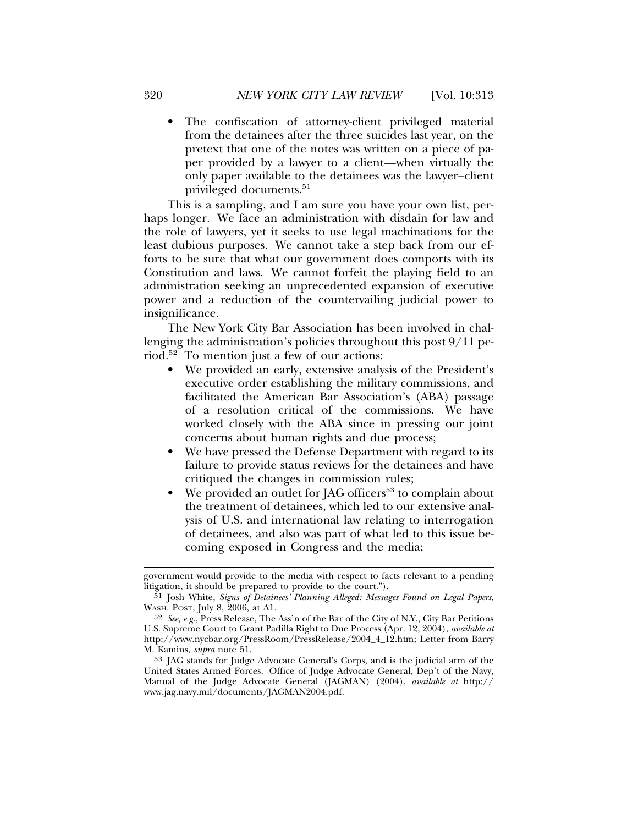• The confiscation of attorney-client privileged material from the detainees after the three suicides last year, on the pretext that one of the notes was written on a piece of paper provided by a lawyer to a client—when virtually the only paper available to the detainees was the lawyer–client privileged documents.<sup>51</sup>

This is a sampling, and I am sure you have your own list, perhaps longer. We face an administration with disdain for law and the role of lawyers, yet it seeks to use legal machinations for the least dubious purposes. We cannot take a step back from our efforts to be sure that what our government does comports with its Constitution and laws. We cannot forfeit the playing field to an administration seeking an unprecedented expansion of executive power and a reduction of the countervailing judicial power to insignificance.

The New York City Bar Association has been involved in challenging the administration's policies throughout this post 9/11 period.52 To mention just a few of our actions:

- We provided an early, extensive analysis of the President's executive order establishing the military commissions, and facilitated the American Bar Association's (ABA) passage of a resolution critical of the commissions. We have worked closely with the ABA since in pressing our joint concerns about human rights and due process;
- We have pressed the Defense Department with regard to its failure to provide status reviews for the detainees and have critiqued the changes in commission rules;
- We provided an outlet for JAG officers<sup>53</sup> to complain about the treatment of detainees, which led to our extensive analysis of U.S. and international law relating to interrogation of detainees, and also was part of what led to this issue becoming exposed in Congress and the media;

government would provide to the media with respect to facts relevant to a pending litigation, it should be prepared to provide to the court.").

<sup>51</sup> Josh White, *Signs of Detainees' Planning Alleged: Messages Found on Legal Papers*, WASH. POST, July 8, 2006, at A1.

<sup>52</sup> *See, e.g*., Press Release, The Ass'n of the Bar of the City of N.Y., City Bar Petitions U.S. Supreme Court to Grant Padilla Right to Due Process (Apr. 12, 2004), *available at* http://www.nycbar.org/PressRoom/PressRelease/2004\_4\_12.htm; Letter from Barry M. Kamins, *supra* note 51.

<sup>53</sup> JAG stands for Judge Advocate General's Corps, and is the judicial arm of the United States Armed Forces. Office of Judge Advocate General, Dep't of the Navy, Manual of the Judge Advocate General (JAGMAN) (2004), *available at* http:// www.jag.navy.mil/documents/JAGMAN2004.pdf.